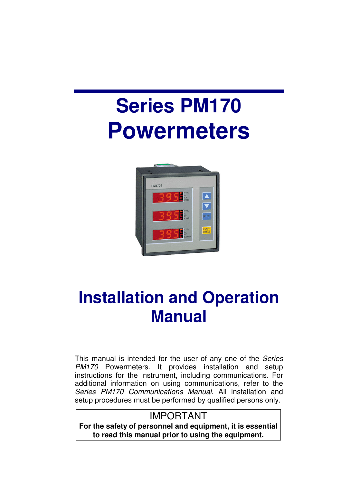# **Series PM170 Powermeters**



# **Installation and Operation Manual**

This manual is intended for the user of any one of the Series PM170 Powermeters. It provides installation and setup instructions for the instrument, including communications. For additional information on using communications, refer to the Series PM170 Communications Manual. All installation and setup procedures must be performed by qualified persons only.

### IMPORTANT

**For the safety of personnel and equipment, it is essential to read this manual prior to using the equipment.**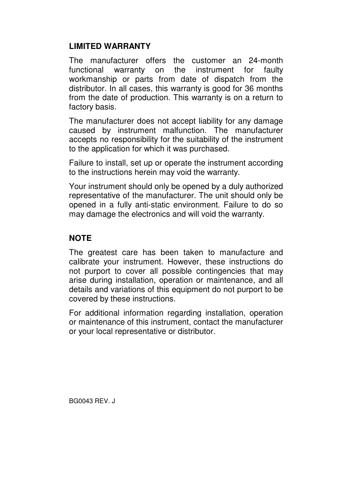#### **LIMITED WARRANTY**

The manufacturer offers the customer an 24-month functional warranty on the instrument for faulty workmanship or parts from date of dispatch from the distributor. In all cases, this warranty is good for 36 months from the date of production. This warranty is on a return to factory basis.

The manufacturer does not accept liability for any damage caused by instrument malfunction. The manufacturer accepts no responsibility for the suitability of the instrument to the application for which it was purchased.

Failure to install, set up or operate the instrument according to the instructions herein may void the warranty.

Your instrument should only be opened by a duly authorized representative of the manufacturer. The unit should only be opened in a fully anti-static environment. Failure to do so may damage the electronics and will void the warranty.

#### **NOTE**

The greatest care has been taken to manufacture and calibrate your instrument. However, these instructions do not purport to cover all possible contingencies that may arise during installation, operation or maintenance, and all details and variations of this equipment do not purport to be covered by these instructions.

For additional information regarding installation, operation or maintenance of this instrument, contact the manufacturer or your local representative or distributor.

BG0043 REV. J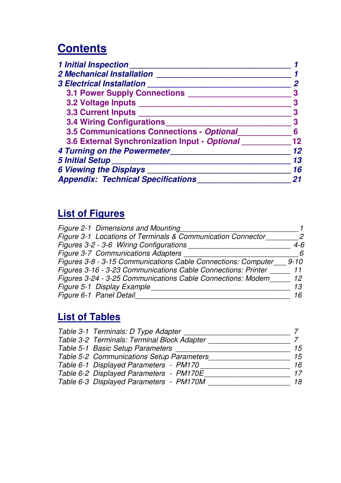# **Contents**

| 1 Initial Inspection______                    |    |
|-----------------------------------------------|----|
| <b>2 Mechanical Installation</b>              |    |
| 3 Electrical Installation                     |    |
| <b>3.1 Power Supply Connections</b>           |    |
| 3.2 Voltage Inputs                            |    |
| 3.3 Current Inputs _____                      |    |
| <b>3.4 Wiring Configurations</b>              |    |
| 3.5 Communications Connections - Optional     |    |
| 3.6 External Synchronization Input - Optional | 12 |
| 4 Turning on the Powermeter_                  | 12 |
| 5 Initial Setup_____                          | 13 |
| <b>6 Viewing the Displays</b>                 | 16 |
| <b>Appendix: Technical Specifications</b>     |    |

# **List of Figures**

| Figure 2-1 Dimensions and Mounting                            |          |
|---------------------------------------------------------------|----------|
| Figure 3-1 Locations of Terminals & Communication Connector   |          |
| Figures 3-2 - 3-6 Wiring Configurations                       | 4-6      |
| Figure 3-7 Communications Adapters                            | 6        |
| Figures 3-8 - 3-15 Communications Cable Connections: Computer | $9 - 10$ |
| Figures 3-16 - 3-23 Communications Cable Connections: Printer | 11       |
| Figures 3-24 - 3-25 Communications Cable Connections: Modem   | 12       |
| Figure 5-1 Display Example                                    | 13       |
| Figure 6-1 Panel Detail                                       | 16       |

### **List of Tables**

| Table 3-1 Terminals: D Type Adapter         |    |
|---------------------------------------------|----|
| Table 3-2 Terminals: Terminal Block Adapter |    |
| Table 5-1 Basic Setup Parameters            | 15 |
| Table 5-2 Communications Setup Parameters   | 15 |
| Table 6-1 Displayed Parameters - PM170      | 16 |
| Table 6-2 Displayed Parameters - PM170E     | 17 |
| Table 6-3 Displayed Parameters - PM170M     | 18 |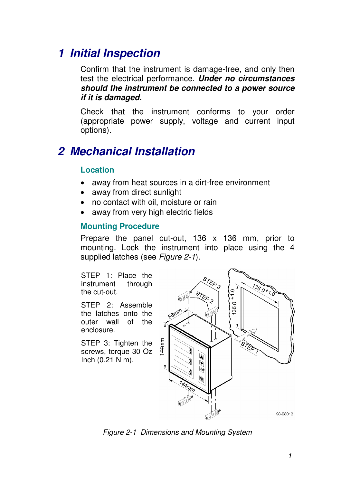# **1 Initial Inspection**

Confirm that the instrument is damage-free, and only then test the electrical performance. **Under no circumstances should the instrument be connected to a power source if it is damaged.** 

Check that the instrument conforms to your order (appropriate power supply, voltage and current input options).

# **2 Mechanical Installation**

#### **Location**

- away from heat sources in a dirt-free environment
- away from direct sunlight
- no contact with oil, moisture or rain
- away from very high electric fields

#### **Mounting Procedure**

Prepare the panel cut-out, 136 x 136 mm, prior to mounting. Lock the instrument into place using the 4 supplied latches (see Figure 2-1).

STEP 1: Place the instrument through the cut-out.

STEP 2: Assemble the latches onto the outer wall of the enclosure.

STEP 3: Tighten the screws, torque 30 Oz Inch (0.21 N m).



Figure 2-1 Dimensions and Mounting System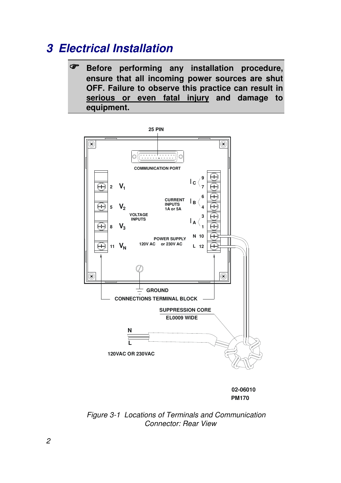# **3 Electrical Installation**

 **Before performing any installation procedure, ensure that all incoming power sources are shut OFF. Failure to observe this practice can result in serious or even fatal injury and damage to equipment.** 



Figure 3-1 Locations of Terminals and Communication Connector: Rear View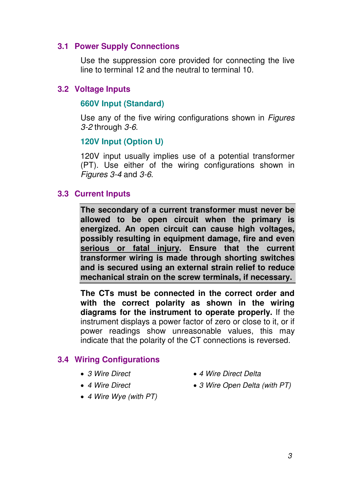#### **3.1 Power Supply Connections**

Use the suppression core provided for connecting the live line to terminal 12 and the neutral to terminal 10.

#### **3.2 Voltage Inputs**

#### **660V Input (Standard)**

Use any of the five wiring configurations shown in Figures 3-2 through 3-6.

#### **120V Input (Option U)**

120V input usually implies use of a potential transformer (PT). Use either of the wiring configurations shown in Figures 3-4 and 3-6.

#### **3.3 Current Inputs**

**The secondary of a current transformer must never be allowed to be open circuit when the primary is energized. An open circuit can cause high voltages, possibly resulting in equipment damage, fire and even serious or fatal injury. Ensure that the current transformer wiring is made through shorting switches and is secured using an external strain relief to reduce mechanical strain on the screw terminals, if necessary.** 

**The CTs must be connected in the correct order and with the correct polarity as shown in the wiring diagrams for the instrument to operate properly.** If the instrument displays a power factor of zero or close to it, or if power readings show unreasonable values, this may indicate that the polarity of the CT connections is reversed.

#### **3.4 Wiring Configurations**

- 
- 
- 4 Wire Wye (with PT)
- 3 Wire Direct 4 Wire Direct Delta
- 4 Wire Direct 3 Wire Open Delta (with PT)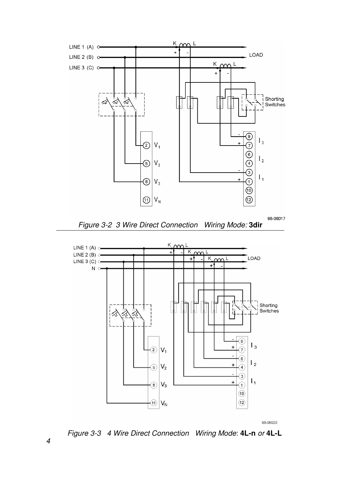

98-06020

Figure 3-3 4 Wire Direct Connection Wiring Mode: **4L-n** or **4L-L** 

4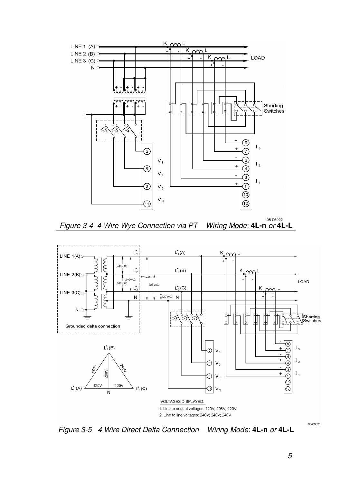





Figure 3-5 4 Wire Direct Delta Connection Wiring Mode: **4L-n** or **4L-L** 

98-06021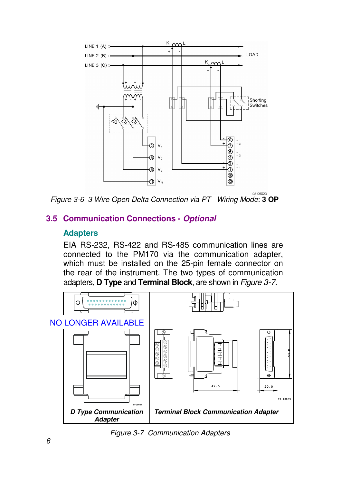

Figure 3-6 3 Wire Open Delta Connection via PT Wiring Mode: **3 OP** 

#### **3.5 Communication Connections - Optional**

#### **Adapters**

EIA RS-232, RS-422 and RS-485 communication lines are connected to the PM170 via the communication adapter, which must be installed on the 25-pin female connector on the rear of the instrument. The two types of communication adapters, **D Type** and **Terminal Block**, are shown in Figure 3-7.



Figure 3-7 Communication Adapters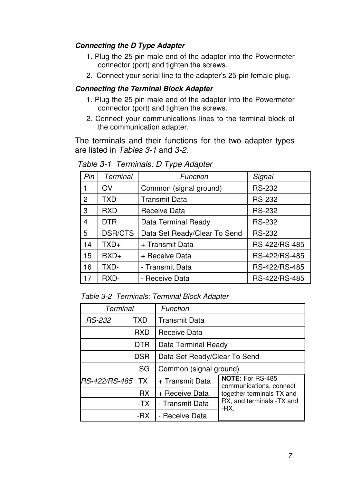#### **Connecting the D Type Adapter**

- 1. Plug the 25-pin male end of the adapter into the Powermeter connector (port) and tighten the screws.
- 2. Connect your serial line to the adapter's 25-pin female plug.

#### **Connecting the Terminal Block Adapter**

- 1. Plug the 25-pin male end of the adapter into the Powermeter connector (port) and tighten the screws.
- 2. Connect your communications lines to the terminal block of the communication adapter.

The terminals and their functions for the two adapter types are listed in Tables 3-1 and 3-2.

| Pin            | Terminal       | Function                     | Signal        |
|----------------|----------------|------------------------------|---------------|
| 1              | OV             | Common (signal ground)       | <b>RS-232</b> |
| $\overline{2}$ | TXD            | <b>Transmit Data</b>         | <b>RS-232</b> |
| 3              | <b>RXD</b>     | Receive Data                 | <b>RS-232</b> |
| 4              | <b>DTR</b>     | Data Terminal Ready          | <b>RS-232</b> |
| 5              | <b>DSR/CTS</b> | Data Set Ready/Clear To Send | <b>RS-232</b> |
| 14             | $TXD+$         | + Transmit Data              | RS-422/RS-485 |
| 15             | $RXD+$         | + Receive Data               | RS-422/RS-485 |
| 16             | TXD-           | - Transmit Data              | RS-422/RS-485 |
| 17             | RXD-           | - Receive Data               | RS-422/RS-485 |

Table 3-1 Terminals: D Type Adapter

Table 3-2 Terminals: Terminal Block Adapter

| Terminal         |            | Function                     |                                             |  |
|------------------|------------|------------------------------|---------------------------------------------|--|
| <i>RS-232</i>    | TXD        | Transmit Data                |                                             |  |
|                  | RXD        | Receive Data                 |                                             |  |
|                  | <b>DTR</b> | Data Terminal Ready          |                                             |  |
|                  | <b>DSR</b> | Data Set Ready/Clear To Send |                                             |  |
|                  | SG         | Common (signal ground)       |                                             |  |
| RS-422/RS-485 TX |            | + Transmit Data              | NOTE: For RS-485<br>communications, connect |  |
|                  | <b>RX</b>  | + Receive Data               | together terminals TX and                   |  |
|                  | -TX        | - Transmit Data              | RX, and terminals - TX and<br>-RX.          |  |
|                  | -RX        | - Receive Data               |                                             |  |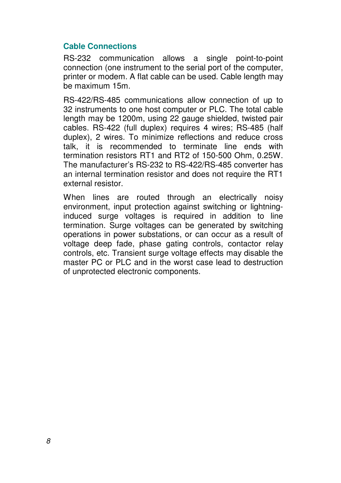#### **Cable Connections**

RS-232 communication allows a single point-to-point connection (one instrument to the serial port of the computer, printer or modem. A flat cable can be used. Cable length may be maximum 15m.

RS-422/RS-485 communications allow connection of up to 32 instruments to one host computer or PLC. The total cable length may be 1200m, using 22 gauge shielded, twisted pair cables. RS-422 (full duplex) requires 4 wires; RS-485 (half duplex), 2 wires. To minimize reflections and reduce cross talk, it is recommended to terminate line ends with termination resistors RT1 and RT2 of 150-500 Ohm, 0.25W. The manufacturer's RS-232 to RS-422/RS-485 converter has an internal termination resistor and does not require the RT1 external resistor.

When lines are routed through an electrically noisy environment, input protection against switching or lightninginduced surge voltages is required in addition to line termination. Surge voltages can be generated by switching operations in power substations, or can occur as a result of voltage deep fade, phase gating controls, contactor relay controls, etc. Transient surge voltage effects may disable the master PC or PLC and in the worst case lead to destruction of unprotected electronic components.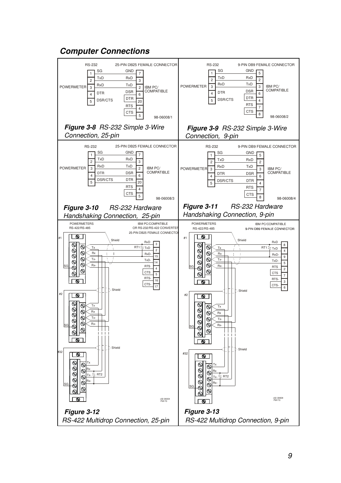

#### 9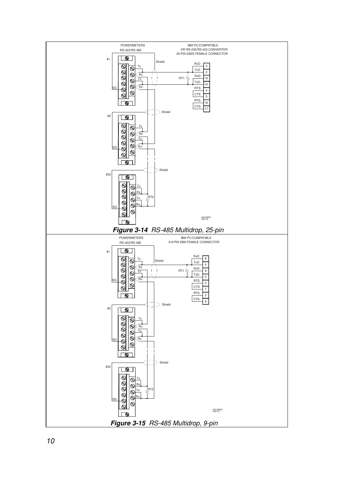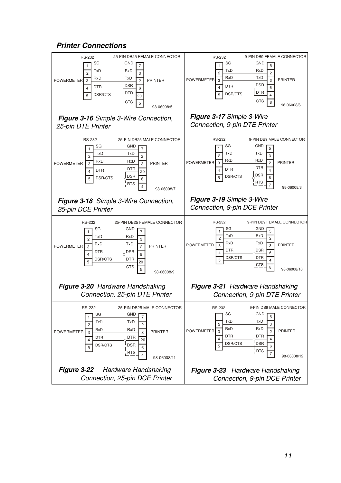#### **Printer Connections**

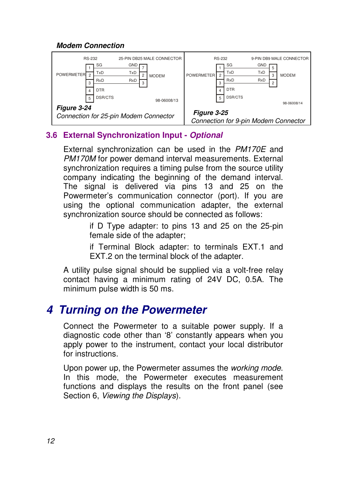#### **Modem Connection**



#### **3.6 External Synchronization Input - Optional**

External synchronization can be used in the PM170E and PM170M for power demand interval measurements. External synchronization requires a timing pulse from the source utility company indicating the beginning of the demand interval. The signal is delivered via pins 13 and 25 on the Powermeter's communication connector (port). If you are using the optional communication adapter, the external synchronization source should be connected as follows:

> if D Type adapter: to pins 13 and 25 on the 25-pin female side of the adapter;

> if Terminal Block adapter: to terminals EXT.1 and EXT.2 on the terminal block of the adapter.

A utility pulse signal should be supplied via a volt-free relay contact having a minimum rating of 24V DC, 0.5A. The minimum pulse width is 50 ms.

# **4 Turning on the Powermeter**

Connect the Powermeter to a suitable power supply. If a diagnostic code other than '8' constantly appears when you apply power to the instrument, contact your local distributor for instructions.

Upon power up, the Powermeter assumes the working mode. In this mode, the Powermeter executes measurement functions and displays the results on the front panel (see Section 6, Viewing the Displays).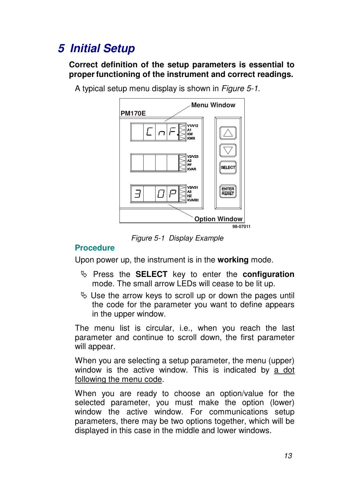# **5 Initial Setup**

**Correct definition of the setup parameters is essential to proper functioning of the instrument and correct readings.**

A typical setup menu display is shown in Figure 5-1.



Figure 5-1 Display Example

#### **Procedure**

Upon power up, the instrument is in the **working** mode.

- Press the **SELECT** key to enter the **configuration** mode. The small arrow LEDs will cease to be lit up.
- $\%$  Use the arrow keys to scroll up or down the pages until the code for the parameter you want to define appears in the upper window.

The menu list is circular, i.e., when you reach the last parameter and continue to scroll down, the first parameter will appear.

When you are selecting a setup parameter, the menu (upper) window is the active window. This is indicated by a dot following the menu code.

When you are ready to choose an option/value for the selected parameter, you must make the option (lower) window the active window. For communications setup parameters, there may be two options together, which will be displayed in this case in the middle and lower windows.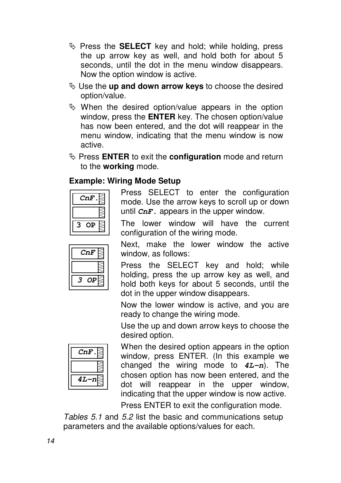- $\%$  Press the **SELECT** key and hold; while holding, press the up arrow key as well, and hold both for about 5 seconds, until the dot in the menu window disappears. Now the option window is active.
- Use the **up and down arrow keys** to choose the desired option/value.
- $\%$  When the desired option/value appears in the option window, press the **ENTER** key. The chosen option/value has now been entered, and the dot will reappear in the menu window, indicating that the menu window is now active.
- Press **ENTER** to exit the **configuration** mode and return to the **working** mode.

#### **Example: Wiring Mode Setup**

| 'nF<br>r. |  |
|-----------|--|
|           |  |
| ρ         |  |

Press SELECT to enter the configuration mode. Use the arrow keys to scroll up or down until **CnF.** appears in the upper window.

The lower window will have the current configuration of the wiring mode.

| :nF<br>C |
|----------|
|          |
| ь        |

 Next, make the lower window the active window, as follows:

Press the SELECT key and hold; while holding, press the up arrow key as well, and hold both keys for about 5 seconds, until the dot in the upper window disappears.

Now the lower window is active, and you are ready to change the wiring mode.

Use the up and down arrow keys to choose the desired option.



 When the desired option appears in the option window, press ENTER. (In this example we changed the wiring mode to **4L-n**). The chosen option has now been entered, and the dot will reappear in the upper window, indicating that the upper window is now active.

Press ENTER to exit the configuration mode.

Tables 5.1 and 5.2 list the basic and communications setup parameters and the available options/values for each.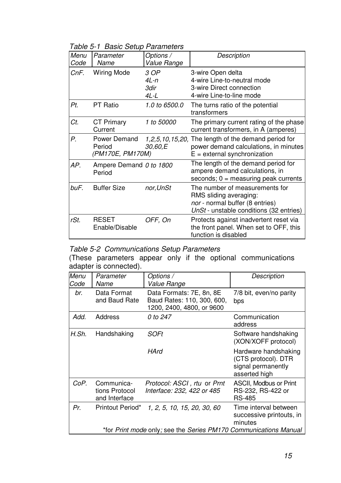Table 5-1 Basic Setup Parameters

| Menu | Parameter                                  | Options /                    | Description                                                                                                                            |
|------|--------------------------------------------|------------------------------|----------------------------------------------------------------------------------------------------------------------------------------|
| Code | Name                                       | Value Range                  |                                                                                                                                        |
| CnF. | <b>Wiring Mode</b>                         | 3 OP<br>4L-n<br>3dir<br>4L-L | 3-wire Open delta<br>4-wire Line-to-neutral mode<br>3-wire Direct connection<br>4-wire Line-to-line mode                               |
| Pt.  | <b>PT Ratio</b>                            | 1.0 to 6500.0                | The turns ratio of the potential<br>transformers                                                                                       |
| Ct.  | CT Primary<br>Current                      | 1 to 50000                   | The primary current rating of the phase<br>current transformers, in A (amperes)                                                        |
| Р.   | Power Demand<br>Period<br>(PM170E, PM170M) | 30.60.E                      | 1,2,5,10,15,20, The length of the demand period for<br>power demand calculations, in minutes<br>$E =$ external synchronization         |
| AP.  | Ampere Demand 0 to 1800<br>Period          |                              | The length of the demand period for<br>ampere demand calculations, in<br>$seconds; 0 = measuring peak currents$                        |
| buF. | <b>Buffer Size</b>                         | nor, UnSt                    | The number of measurements for<br>RMS sliding averaging:<br>nor - normal buffer (8 entries)<br>UnSt - unstable conditions (32 entries) |
| rSt. | <b>RESET</b><br>Enable/Disable             | OFF, On                      | Protects against inadvertent reset via<br>the front panel. When set to OFF, this<br>function is disabled                               |

#### Table 5-2 Communications Setup Parameters

(These parameters appear only if the optional communications adapter is connected).

| Menu<br>Code | Parameter<br>Name                             | Options /<br>Value Range                                                            | Description                                                                        |
|--------------|-----------------------------------------------|-------------------------------------------------------------------------------------|------------------------------------------------------------------------------------|
| br.          | Data Format<br>and Baud Rate                  | Data Formats: 7E, 8n, 8E<br>Baud Rates: 110, 300, 600,<br>1200, 2400, 4800, or 9600 | 7/8 bit, even/no parity<br>bps                                                     |
| Add.         | Address                                       | 0 to 247                                                                            | Communication<br>address                                                           |
| H.Sh.        | Handshaking                                   | SOFt                                                                                | Software handshaking<br>(XON/XOFF protocol)                                        |
|              |                                               | HArd                                                                                | Hardware handshaking<br>(CTS protocol). DTR<br>signal permanently<br>asserted high |
| CoP.         | Communica-<br>tions Protocol<br>and Interface | Protocol: ASCI, rtu or Prnt<br>Interface: 232, 422 or 485                           | ASCII, Modbus or Print<br>RS-232, RS-422 or<br><b>RS-485</b>                       |
| Pr.          | Printout Period*                              | 1, 2, 5, 10, 15, 20, 30, 60                                                         | Time interval between<br>successive printouts, in<br>minutes                       |
|              |                                               | *for Print mode only; see the Series PM170 Communications Manual                    |                                                                                    |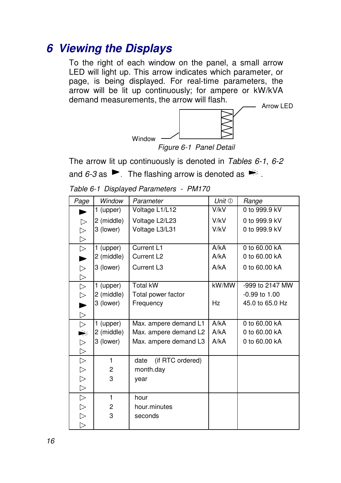## **6 Viewing the Displays**

To the right of each window on the panel, a small arrow LED will light up. This arrow indicates which parameter, or page, is being displayed. For real-time parameters, the arrow will be lit up continuously; for ampere or kW/kVA demand measurements, the arrow will flash.



Figure 6-1 Panel Detail

The arrow lit up continuously is denoted in Tables 6-1, 6-2 and 6-3 as  $\blacktriangleright$  . The flashing arrow is denoted as  $\blacktriangleright$ .

| Page             | Window     | Parameter                | Unit $\mathbb O$ | Range             |
|------------------|------------|--------------------------|------------------|-------------------|
| ►                | 1 (upper)  | Voltage L1/L12           | V/kV             | 0 to 999.9 kV     |
| $\triangleright$ | 2 (middle) | Voltage L2/L23           | V/kV             | 0 to 999.9 kV     |
| $\triangleright$ | 3 (lower)  | Voltage L3/L31           | V/kV             | 0 to 999.9 kV     |
| $\triangleright$ |            |                          |                  |                   |
| $\triangleright$ | 1 (upper)  | Current L1               | A/kA             | 0 to 60,00 kA     |
| ▶                | 2 (middle) | Current L <sub>2</sub>   | A/kA             | 0 to 60,00 kA     |
| $\triangleright$ | 3 (lower)  | Current L <sub>3</sub>   | A/kA             | 0 to 60,00 kA     |
| $\triangleright$ |            |                          |                  |                   |
| $\triangleright$ | 1 (upper)  | <b>Total kW</b>          | kW/MW            | -999 to 2147 MW   |
| $\triangleright$ | 2 (middle) | Total power factor       |                  | $-0.99$ to $1.00$ |
| $\blacksquare$   | 3 (lower)  | Frequency                | Hz               | 45.0 to 65.0 Hz   |
| $\triangleright$ |            |                          |                  |                   |
| $\triangleright$ | 1 (upper)  | Max. ampere demand L1    | A/kA             | 0 to 60.00 kA     |
|                  | 2 (middle) | Max. ampere demand L2    | A/kA             | 0 to 60.00 kA     |
| $\triangleright$ | 3 (lower)  | Max. ampere demand L3    | A/kA             | 0 to 60.00 kA     |
| $\triangleright$ |            |                          |                  |                   |
| $\triangleright$ | 1          | (if RTC ordered)<br>date |                  |                   |
| $\triangleright$ | 2          | month.day                |                  |                   |
| $\triangleright$ | 3          | year                     |                  |                   |
| $\triangleright$ |            |                          |                  |                   |
| $\triangleright$ | 1          | hour                     |                  |                   |
|                  | 2          | hour.minutes             |                  |                   |
| レレレ              | 3          | seconds                  |                  |                   |
|                  |            |                          |                  |                   |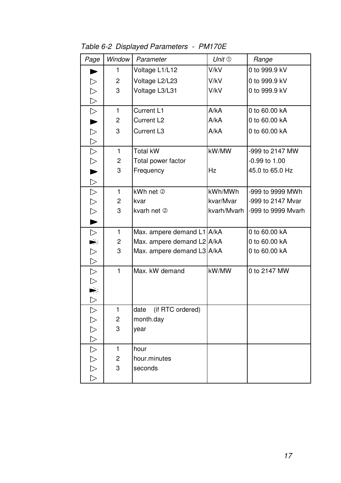| Page                        | Window         | Parameter                  | Unit $\mathbb O$ | Range              |
|-----------------------------|----------------|----------------------------|------------------|--------------------|
| ►                           | 1              | Voltage L1/L12             | V/kV             | 0 to 999.9 kV      |
| $\triangleright$            | 2              | Voltage L2/L23             | V/kV             | 0 to 999.9 kV      |
| $\triangleright$            | 3              | Voltage L3/L31             | V/kV             | 0 to 999.9 kV      |
|                             |                |                            |                  |                    |
| $\frac{1}{\sqrt{2}}$        | $\mathbf{1}$   | Current L1                 | A/kA             | 0 to 60.00 kA      |
|                             | 2              | Current L <sub>2</sub>     | A/kA             | 0 to 60.00 kA      |
|                             | 3              | Current L3                 | A/kA             | 0 to 60.00 kA      |
|                             |                |                            |                  |                    |
|                             | 1              | <b>Total kW</b>            | kW/MW            | -999 to 2147 MW    |
|                             | $\overline{c}$ | Total power factor         |                  | $-0.99$ to $1.00$  |
|                             | 3              | Frequency                  | Hz               | 45.0 to 65.0 Hz    |
|                             |                |                            |                  |                    |
|                             | 1              | kWh net 2                  | kWh/MWh          | -999 to 9999 MWh   |
|                             | $\overline{c}$ | kvar                       | kvar/Mvar        | -999 to 2147 Mvar  |
|                             | 3              | kvarh net 2                | kvarh/Mvarh      | -999 to 9999 Mvarh |
|                             |                |                            |                  |                    |
| $\triangleright$            | 1              | Max. ampere demand L1 A/kA |                  | 0 to 60.00 kA      |
|                             | $\overline{c}$ | Max. ampere demand L2 A/kA |                  | 0 to 60.00 kA      |
|                             | 3              | Max. ampere demand L3 A/kA |                  | 0 to 60.00 kA      |
| $\frac{1}{2} \Delta \Delta$ |                |                            |                  |                    |
|                             | $\mathbf{1}$   | Max, kW demand             | kW/MW            | 0 to 2147 MW       |
|                             |                |                            |                  |                    |
|                             |                |                            |                  |                    |
| レレマンママラク                    |                |                            |                  |                    |
|                             | 1              | (if RTC ordered)<br>date   |                  |                    |
|                             | 2              | month.day                  |                  |                    |
|                             | 3              | year                       |                  |                    |
|                             |                |                            |                  |                    |
| レクレロフ                       | 1              | hour                       |                  |                    |
|                             | 2              | hour.minutes               |                  |                    |
|                             | 3              | seconds                    |                  |                    |
|                             |                |                            |                  |                    |

Table 6-2 Displayed Parameters - PM170E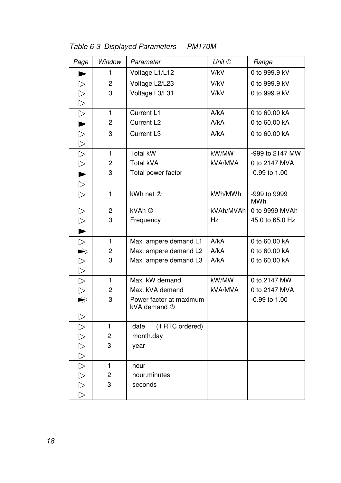Table 6-3 Displayed Parameters - PM170M

| Page                    | Window         | Parameter                               | Unit $\mathbb O$ | Range           |
|-------------------------|----------------|-----------------------------------------|------------------|-----------------|
|                         | 1              | Voltage L1/L12                          | V/kV             | 0 to 999.9 kV   |
| $\triangleright$        | 2              | Voltage L2/L23                          | V/kV             | 0 to 999.9 kV   |
| $\triangleright$        | 3              | Voltage L3/L31                          | V/kV             | 0 to 999.9 kV   |
| $\triangleright$        |                |                                         |                  |                 |
| $\triangleright$        | 1              | Current L1                              | A/kA             | 0 to 60.00 kA   |
| ►                       | $\overline{c}$ | Current L <sub>2</sub>                  | A/kA             | 0 to 60,00 kA   |
| $\triangleright$        | 3              | Current L <sub>3</sub>                  | A/kA             | 0 to 60,00 kA   |
| $\triangleright$        |                |                                         |                  |                 |
| $\triangleright$        | 1              | <b>Total kW</b>                         | kW/MW            | -999 to 2147 MW |
| $\triangleright$        | 2              | <b>Total kVA</b>                        | kVA/MVA          | 0 to 2147 MVA   |
| $\blacktriangleright$   | 3              | Total power factor                      |                  | $-0.99$ to 1.00 |
| $\triangleright$        |                |                                         |                  |                 |
| $\triangleright$        | $\mathbf{1}$   | kWh net 2                               | kWh/MWh          | -999 to 9999    |
|                         |                |                                         |                  | MWh             |
| $\triangleright$        | 2              | kVAh 2                                  | kVAh/MVAh        | 0 to 9999 MVAh  |
| $\triangleright$        | 3              | Frequency                               | Hz               | 45.0 to 65.0 Hz |
|                         |                |                                         |                  |                 |
| $\triangle$ $\triangle$ | 1              | Max. ampere demand L1                   | A/kA             | 0 to 60.00 kA   |
|                         | 2              | Max. ampere demand L2                   | A/kA             | 0 to 60.00 kA   |
|                         | 3              | Max. ampere demand L3                   | A/kA             | 0 to 60,00 kA   |
| $\triangleright$        |                |                                         |                  |                 |
| $\triangleright$        | 1              | Max. kW demand                          | kW/MW            | 0 to 2147 MW    |
| $\triangleright$        | 2              | Max. kVA demand                         | kVA/MVA          | 0 to 2147 MVA   |
| է                       | 3              | Power factor at maximum<br>kVA demand 3 |                  | $-0.99$ to 1.00 |
| $\triangleright$        |                |                                         |                  |                 |
| $\triangleright$        | 1              | (if RTC ordered)<br>date                |                  |                 |
|                         | 2              | month.day                               |                  |                 |
|                         | 3              | year                                    |                  |                 |
| AAAAAAA                 |                |                                         |                  |                 |
|                         | 1              | hour                                    |                  |                 |
|                         | 2              | hour.minutes                            |                  |                 |
|                         | 3              | seconds                                 |                  |                 |
|                         |                |                                         |                  |                 |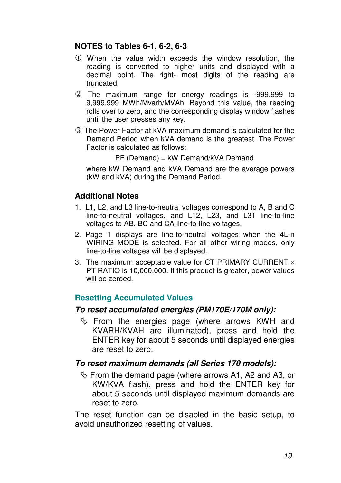#### **NOTES to Tables 6-1, 6-2, 6-3**

- When the value width exceeds the window resolution, the reading is converted to higher units and displayed with a decimal point. The right- most digits of the reading are truncated.
- The maximum range for energy readings is -999.999 to 9,999.999 MWh/Mvarh/MVAh. Beyond this value, the reading rolls over to zero, and the corresponding display window flashes until the user presses any key.
- The Power Factor at kVA maximum demand is calculated for the Demand Period when kVA demand is the greatest. The Power Factor is calculated as follows:

PF (Demand) = kW Demand/kVA Demand

where kW Demand and kVA Demand are the average powers (kW and kVA) during the Demand Period.

#### **Additional Notes**

- 1. L1, L2, and L3 line-to-neutral voltages correspond to A, B and C line-to-neutral voltages, and L12, L23, and L31 line-to-line voltages to AB, BC and CA line-to-line voltages.
- 2. Page 1 displays are line-to-neutral voltages when the 4L-n WIRING MODE is selected. For all other wiring modes, only line-to-line voltages will be displayed.
- 3. The maximum acceptable value for CT PRIMARY CURRENT  $\times$ PT RATIO is 10,000,000. If this product is greater, power values will be zeroed.

#### **Resetting Accumulated Values**

#### **To reset accumulated energies (PM170E/170M only):**

 $\%$  From the energies page (where arrows KWH and KVARH/KVAH are illuminated), press and hold the ENTER key for about 5 seconds until displayed energies are reset to zero.

#### **To reset maximum demands (all Series 170 models):**

- From the demand page (where arrows A1, A2 and A3, or KW/KVA flash), press and hold the ENTER key for about 5 seconds until displayed maximum demands are reset to zero.

The reset function can be disabled in the basic setup, to avoid unauthorized resetting of values.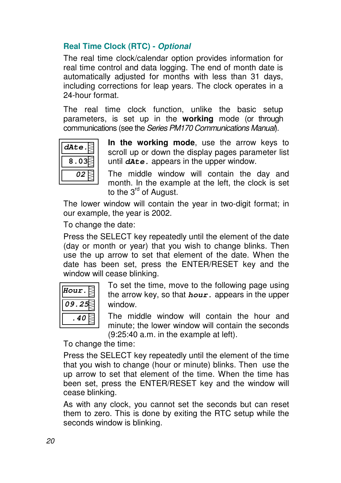#### **Real Time Clock (RTC) - Optional**

The real time clock/calendar option provides information for real time control and data logging. The end of month date is automatically adjusted for months with less than 31 days, including corrections for leap years. The clock operates in a 24-hour format.

The real time clock function, unlike the basic setup parameters, is set up in the **working** mode (or through communications (see the Series PM170 Communications Manual).



**In the working mode**, use the arrow keys to scroll up or down the display pages parameter list until **dAte.** appears in the upper window.

The middle window will contain the day and month. In the example at the left, the clock is set to the 3<sup>rd</sup> of August.

The lower window will contain the year in two-digit format; in our example, the year is 2002.

To change the date:

Press the SELECT key repeatedly until the element of the date (day or month or year) that you wish to change blinks. Then use the up arrow to set that element of the date. When the date has been set, press the ENTER/RESET key and the window will cease blinking.



 To set the time, move to the following page using the arrow key, so that **hour.** appears in the upper window.

The middle window will contain the hour and minute; the lower window will contain the seconds (9:25:40 a.m. in the example at left).

To change the time:

Press the SELECT key repeatedly until the element of the time that you wish to change (hour or minute) blinks. Then use the up arrow to set that element of the time. When the time has been set, press the ENTER/RESET key and the window will cease blinking.

As with any clock, you cannot set the seconds but can reset them to zero. This is done by exiting the RTC setup while the seconds window is blinking.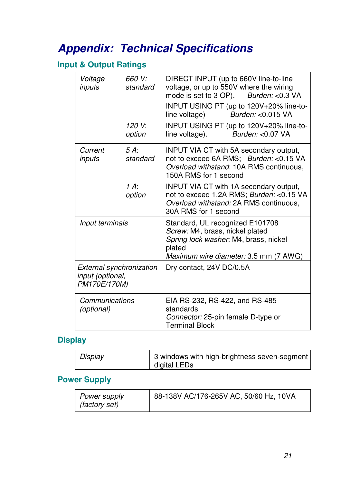# **Appendix: Technical Specifications**

### **Input & Output Ratings**

| Voltage<br>inputs                                            | 660 V:<br>standard | DIRECT INPUT (up to 660V line-to-line<br>voltage, or up to 550V where the wiring<br>mode is set to 3 OP). Burden: < 0.3 VA<br>INPUT USING PT (up to 120V+20% line-to- |  |  |  |
|--------------------------------------------------------------|--------------------|-----------------------------------------------------------------------------------------------------------------------------------------------------------------------|--|--|--|
|                                                              |                    | line voltage) Burden: <0.015 VA                                                                                                                                       |  |  |  |
|                                                              | 120 V:<br>option   | INPUT USING PT (up to 120V+20% line-to-<br>Burden: <0.07 VA<br>line voltage).                                                                                         |  |  |  |
| Current<br>inputs                                            | 5A<br>standard     | <b>INPUT VIA CT with 5A secondary output,</b><br>not to exceed 6A RMS; Burden: < 0.15 VA<br>Overload withstand: 10A RMS continuous,<br>150A RMS for 1 second          |  |  |  |
|                                                              | $1 A$ :<br>option  | INPUT VIA CT with 1A secondary output,<br>not to exceed 1.2A RMS; Burden: < 0.15 VA<br>Overload withstand: 2A RMS continuous,<br>30A RMS for 1 second                 |  |  |  |
| Input terminals                                              |                    | Standard, UL recognized E101708<br>Screw: M4, brass, nickel plated<br>Spring lock washer. M4, brass, nickel<br>plated<br>Maximum wire diameter: 3.5 mm (7 AWG)        |  |  |  |
| External synchronization<br>input (optional,<br>PM170E/170M) |                    | Dry contact, 24V DC/0.5A                                                                                                                                              |  |  |  |
| Communications<br>(optional)                                 |                    | EIA RS-232, RS-422, and RS-485<br>standards<br>Connector: 25-pin female D-type or<br><b>Terminal Block</b>                                                            |  |  |  |

#### **Display**

| Display | 3 windows with high-brightness seven-segment<br>digital LEDs |
|---------|--------------------------------------------------------------|
|         |                                                              |

#### **Power Supply**

| Power supply<br><i>(factory set)</i> | 88-138V AC/176-265V AC, 50/60 Hz, 10VA |
|--------------------------------------|----------------------------------------|
|                                      |                                        |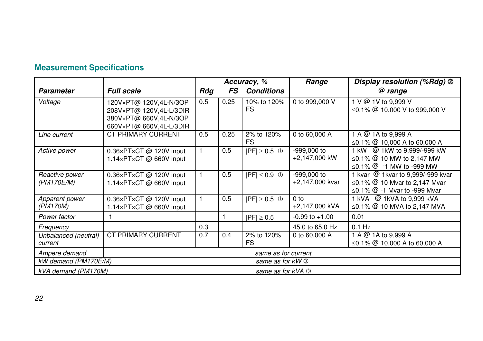|                                                     |                                                                                                        | Accuracy, %  |      | Range              | Display resolution (%Rdg) 2       |                                                                                                                        |
|-----------------------------------------------------|--------------------------------------------------------------------------------------------------------|--------------|------|--------------------|-----------------------------------|------------------------------------------------------------------------------------------------------------------------|
| <b>Parameter</b>                                    | <b>Full scale</b>                                                                                      | Rdg          | FS   | <b>Conditions</b>  |                                   | @ range                                                                                                                |
| Voltage                                             | 120V×PT@ 120V,4L-N/3OP<br>208V×PT@ 120V,4L-L/3DIR<br>380V×PT@ 660V,4L-N/3OP<br>660V×PT@ 660V,4L-L/3DIR | 0.5          | 0.25 | 10% to 120%<br>FS. | 0 to 999,000 V                    | 1 V @ 1V to 9.999 V<br>≤0.1% $@$ 10,000 V to 999,000 V                                                                 |
| Line current                                        | CT PRIMARY CURRENT                                                                                     | 0.5          | 0.25 | 2% to 120%<br>FS.  | 0 to 60,000 A                     | 1 A @ 1A to 9,999 A<br>≤0.1% $@$ 10,000 A to 60,000 A                                                                  |
| Active power                                        | $0.36\times$ PT $\times$ CT @ 120V input<br>1.14×PT×CT @ 660V input                                    | $\mathbf{1}$ | 0.5  | $ PF  \geq 0.5$ 0  | -999,000 to<br>+2,147,000 kW      | 1 kW @ 1kW to 9,999/-999 kW<br>≤0.1% $@$ 10 MW to 2,147 MW<br>$\leq$ 0.1% $@$ -1 MW to -999 MW                         |
| Reactive power<br>(PM170E/M)                        | $0.36\times$ PT $\times$ CT @ 120V input<br>1.14×PT×CT @ 660V input                                    |              | 0.5  | $ PF  \leq 0.9$ 0  | -999,000 to<br>+2,147,000 kvar    | 1 kvar @ 1 kvar to 9,999/-999 kvar<br>$\leq$ 0.1% @ 10 Mvar to 2,147 Mvar<br>$\leq$ 0.1% $\omega$ -1 Mvar to -999 Mvar |
| Apparent power<br>(PM170M)                          | $0.36\times$ PT $\times$ CT @ 120V input<br>1.14×PT×CT @ 660V input                                    |              | 0.5  | $ PF  \ge 0.5$ 0   | 0 <sub>to</sub><br>+2,147,000 kVA | 1 kVA @ 1kVA to 9,999 kVA<br>≤0.1% @ 10 MVA to 2,147 MVA                                                               |
| Power factor                                        |                                                                                                        |              |      | $ PF  \ge 0.5$     | $-0.99$ to $+1.00$                | 0.01                                                                                                                   |
| Frequency                                           |                                                                                                        | 0.3          |      |                    | 45.0 to 65.0 Hz                   | $0.1$ Hz                                                                                                               |
| Unbalanced (neutral)<br>current                     | <b>CT PRIMARY CURRENT</b>                                                                              | 0.7          | 0.4  | 2% to 120%<br>FS.  | 0 to 60,000 A                     | 1 A $@$ 1A to 9,999 A<br>≤0.1% $@$ 10,000 A to 60,000 A                                                                |
| Ampere demand                                       | same as for current                                                                                    |              |      |                    |                                   |                                                                                                                        |
| kW demand (PM170E/M)<br>same as for kW <sup>®</sup> |                                                                                                        |              |      |                    |                                   |                                                                                                                        |
| kVA demand (PM170M)<br>same as for kVA 3            |                                                                                                        |              |      |                    |                                   |                                                                                                                        |

### **Measurement Specifications**